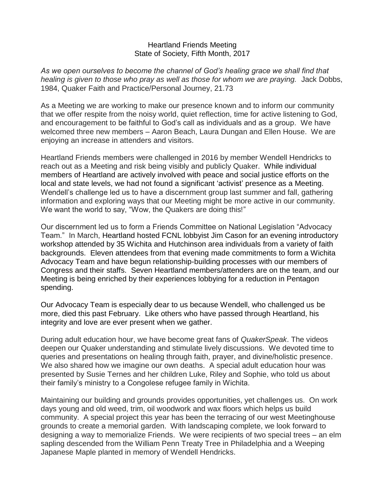## Heartland Friends Meeting State of Society, Fifth Month, 2017

*As we open ourselves to become the channel of God's healing grace we shall find that healing is given to those who pray as well as those for whom we are praying.* Jack Dobbs, 1984, Quaker Faith and Practice/Personal Journey, 21.73

As a Meeting we are working to make our presence known and to inform our community that we offer respite from the noisy world, quiet reflection, time for active listening to God, and encouragement to be faithful to God's call as individuals and as a group. We have welcomed three new members – Aaron Beach, Laura Dungan and Ellen House. We are enjoying an increase in attenders and visitors.

Heartland Friends members were challenged in 2016 by member Wendell Hendricks to reach out as a Meeting and risk being visibly and publicly Quaker. While individual members of Heartland are actively involved with peace and social justice efforts on the local and state levels, we had not found a significant 'activist' presence as a Meeting. Wendell's challenge led us to have a discernment group last summer and fall, gathering information and exploring ways that our Meeting might be more active in our community. We want the world to say, "Wow, the Quakers are doing this!"

Our discernment led us to form a Friends Committee on National Legislation "Advocacy Team." In March, Heartland hosted FCNL lobbyist Jim Cason for an evening introductory workshop attended by 35 Wichita and Hutchinson area individuals from a variety of faith backgrounds. Eleven attendees from that evening made commitments to form a Wichita Advocacy Team and have begun relationship-building processes with our members of Congress and their staffs. Seven Heartland members/attenders are on the team, and our Meeting is being enriched by their experiences lobbying for a reduction in Pentagon spending.

Our Advocacy Team is especially dear to us because Wendell, who challenged us be more, died this past February. Like others who have passed through Heartland, his integrity and love are ever present when we gather.

During adult education hour, we have become great fans of *QuakerSpeak*. The videos deepen our Quaker understanding and stimulate lively discussions. We devoted time to queries and presentations on healing through faith, prayer, and divine/holistic presence. We also shared how we imagine our own deaths. A special adult education hour was presented by Susie Ternes and her children Luke, Riley and Sophie, who told us about their family's ministry to a Congolese refugee family in Wichita.

Maintaining our building and grounds provides opportunities, yet challenges us. On work days young and old weed, trim, oil woodwork and wax floors which helps us build community. A special project this year has been the terracing of our west Meetinghouse grounds to create a memorial garden. With landscaping complete, we look forward to designing a way to memorialize Friends. We were recipients of two special trees – an elm sapling descended from the William Penn Treaty Tree in Philadelphia and a Weeping Japanese Maple planted in memory of Wendell Hendricks.